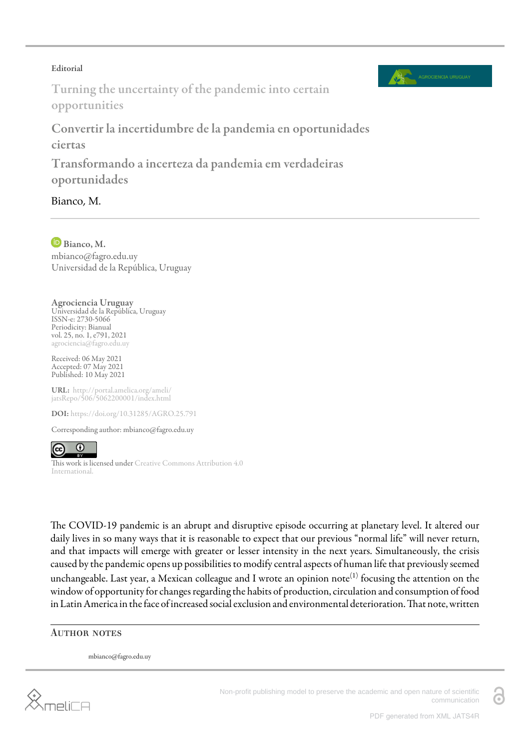## Editorial



Turning the uncertainty of the pandemic into certain opportunities

Convertir la incertidumbre de la pandemia en oportunidades ciertas

Transformando a incerteza da pandemia em verdadeiras oportunidades

Bianco, M.

Bianco, M. mbianco@fagro.edu.uy Universidad de la República, Uruguay

Agrociencia Uruguay Universidad de la República, Uruguay ISSN-e: 2730-5066 Periodicity: Bianual vol. 25, no. 1, e791, 2021 agrociencia@fagro.edu.uy

Received: 06 May 2021 Accepted: 07 May 2021 Published: 10 May 2021

URL: [http://portal.amelica.org/ameli/](http://portal.amelica.org/ameli/jatsRepo/506/5062200001/index.html) [jatsRepo/506/5062200001/index.html](http://portal.amelica.org/ameli/jatsRepo/506/5062200001/index.html)

DOI: <https://doi.org/10.31285/AGRO.25.791>

Corresponding author: mbianco@fagro.edu.uy



This work is licensed under [Creative Commons Attribution 4.0](https://creativecommons.org/licenses/by/4.0/) [International.](https://creativecommons.org/licenses/by/4.0/)

The COVID-19 pandemic is an abrupt and disruptive episode occurring at planetary level. It altered our daily lives in so many ways that it is reasonable to expect that our previous "normal life" will never return, and that impacts will emerge with greater or lesser intensity in the next years. Simultaneously, the crisis caused by the pandemic opens up possibilities to modify central aspects of human life that previously seemed unchangeable. Last year, a Mexican colleague and I wrote an opinion note $^{(1)}$  $^{(1)}$  $^{(1)}$  focusing the attention on the window of opportunity for changes regarding the habits of production, circulation and consumption of food in Latin America in the face of increased social exclusion and environmental deterioration. That note, written

## **AUTHOR NOTES**

mbianco@fagro.edu.uy

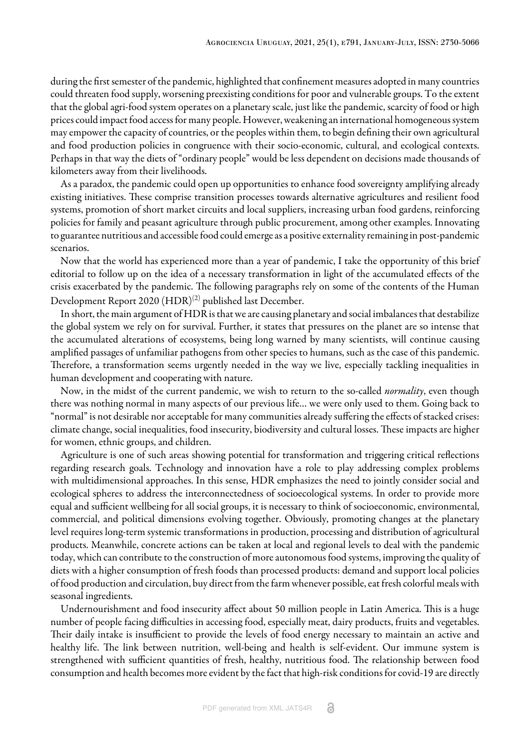during the first semester of the pandemic, highlighted that confinement measures adopted in many countries could threaten food supply, worsening preexisting conditions for poor and vulnerable groups. To the extent that the global agri-food system operates on a planetary scale, just like the pandemic, scarcity of food or high prices could impact food access for many people. However, weakening an international homogeneous system may empower the capacity of countries, or the peoples within them, to begin defining their own agricultural and food production policies in congruence with their socio-economic, cultural, and ecological contexts. Perhaps in that way the diets of "ordinary people" would be less dependent on decisions made thousands of kilometers away from their livelihoods.

As a paradox, the pandemic could open up opportunities to enhance food sovereignty amplifying already existing initiatives. These comprise transition processes towards alternative agricultures and resilient food systems, promotion of short market circuits and local suppliers, increasing urban food gardens, reinforcing policies for family and peasant agriculture through public procurement, among other examples. Innovating to guarantee nutritious and accessible food could emerge as a positive externality remaining in post-pandemic scenarios.

Now that the world has experienced more than a year of pandemic, I take the opportunity of this brief editorial to follow up on the idea of a necessary transformation in light of the accumulated effects of the crisis exacerbated by the pandemic. The following paragraphs rely on some of the contents of the Human Development Report 2020 (HDR) $^{(2)}$  $^{(2)}$  $^{(2)}$  published last December.

In short, the main argument of HDR is that we are causing planetary and social imbalances that destabilize the global system we rely on for survival. Further, it states that pressures on the planet are so intense that the accumulated alterations of ecosystems, being long warned by many scientists, will continue causing amplified passages of unfamiliar pathogens from other species to humans, such as the case of this pandemic. Therefore, a transformation seems urgently needed in the way we live, especially tackling inequalities in human development and cooperating with nature.

Now, in the midst of the current pandemic, we wish to return to the so-called *normality*, even though there was nothing normal in many aspects of our previous life… we were only used to them. Going back to "normal" is not desirable nor acceptable for many communities already suffering the effects of stacked crises: climate change, social inequalities, food insecurity, biodiversity and cultural losses. These impacts are higher for women, ethnic groups, and children.

Agriculture is one of such areas showing potential for transformation and triggering critical reflections regarding research goals. Technology and innovation have a role to play addressing complex problems with multidimensional approaches. In this sense, HDR emphasizes the need to jointly consider social and ecological spheres to address the interconnectedness of socioecological systems. In order to provide more equal and sufficient wellbeing for all social groups, it is necessary to think of socioeconomic, environmental, commercial, and political dimensions evolving together. Obviously, promoting changes at the planetary level requires long-term systemic transformations in production, processing and distribution of agricultural products. Meanwhile, concrete actions can be taken at local and regional levels to deal with the pandemic today, which can contribute to the construction of more autonomous food systems, improving the quality of diets with a higher consumption of fresh foods than processed products: demand and support local policies of food production and circulation, buy direct from the farm whenever possible, eat fresh colorful meals with seasonal ingredients.

Undernourishment and food insecurity affect about 50 million people in Latin America. This is a huge number of people facing difficulties in accessing food, especially meat, dairy products, fruits and vegetables. Their daily intake is insufficient to provide the levels of food energy necessary to maintain an active and healthy life. The link between nutrition, well-being and health is self-evident. Our immune system is strengthened with sufficient quantities of fresh, healthy, nutritious food. The relationship between food consumption and health becomes more evident by the fact that high-risk conditions for covid-19 are directly